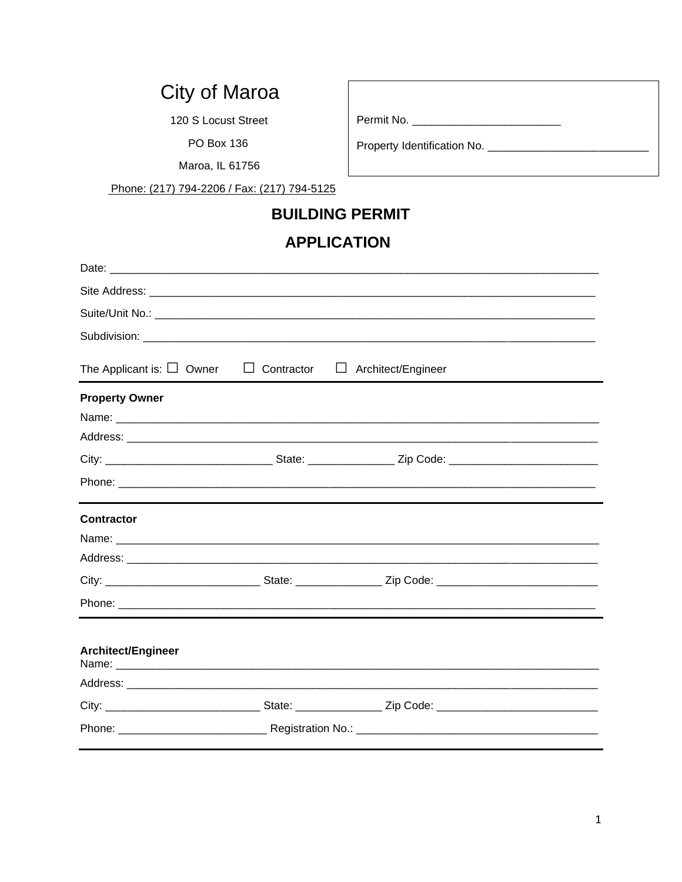# City of Maroa

120 S Locust Street

PO Box 136

Maroa, IL 61756

Phone: (217) 794-2206 / Fax: (217) 794-5125

### **BUILDING PERMIT**

## **APPLICATION**

| The Applicant is: $\Box$ Owner | $\Box$ Contractor | $\Box$ Architect/Engineer                                                                                      |  |
|--------------------------------|-------------------|----------------------------------------------------------------------------------------------------------------|--|
| <b>Property Owner</b>          |                   |                                                                                                                |  |
|                                |                   |                                                                                                                |  |
|                                |                   |                                                                                                                |  |
|                                |                   |                                                                                                                |  |
|                                |                   |                                                                                                                |  |
| <b>Contractor</b>              |                   |                                                                                                                |  |
|                                |                   |                                                                                                                |  |
|                                |                   |                                                                                                                |  |
|                                |                   | City: __________________________________State: ______________________Zip Code: _______________________________ |  |
|                                |                   |                                                                                                                |  |
| Architect/Engineer             |                   |                                                                                                                |  |
|                                |                   |                                                                                                                |  |
|                                |                   |                                                                                                                |  |
|                                |                   |                                                                                                                |  |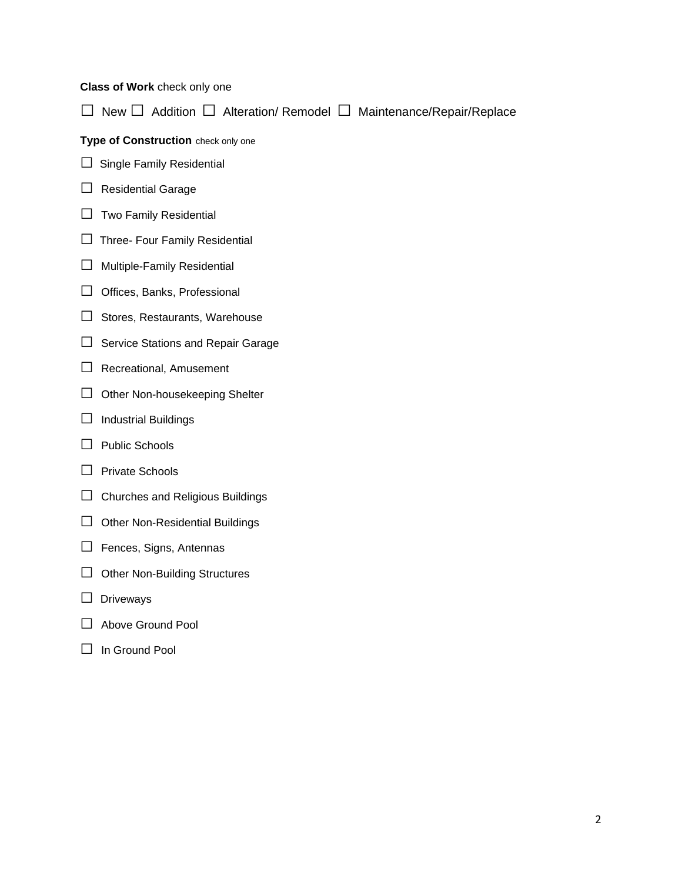#### **Class of Work** check only one

□ New □ Addition □ Alteration/ Remodel □ Maintenance/Repair/Replace

**Type of Construction** check only one

- $\Box$  Single Family Residential
- □ Residential Garage
- $\Box$  Two Family Residential
- □ Three- Four Family Residential
- □ Multiple-Family Residential
- □ Offices, Banks, Professional
- □ Stores, Restaurants, Warehouse
- □ Service Stations and Repair Garage
- □ Recreational, Amusement
- □ Other Non-housekeeping Shelter
- $\Box$  Industrial Buildings
- □ Public Schools
- □ Private Schools
- $\Box$  Churches and Religious Buildings
- $\Box$  Other Non-Residential Buildings
- □ Fences, Signs, Antennas
- □ Other Non-Building Structures
- □ Driveways
- □ Above Ground Pool
- □ In Ground Pool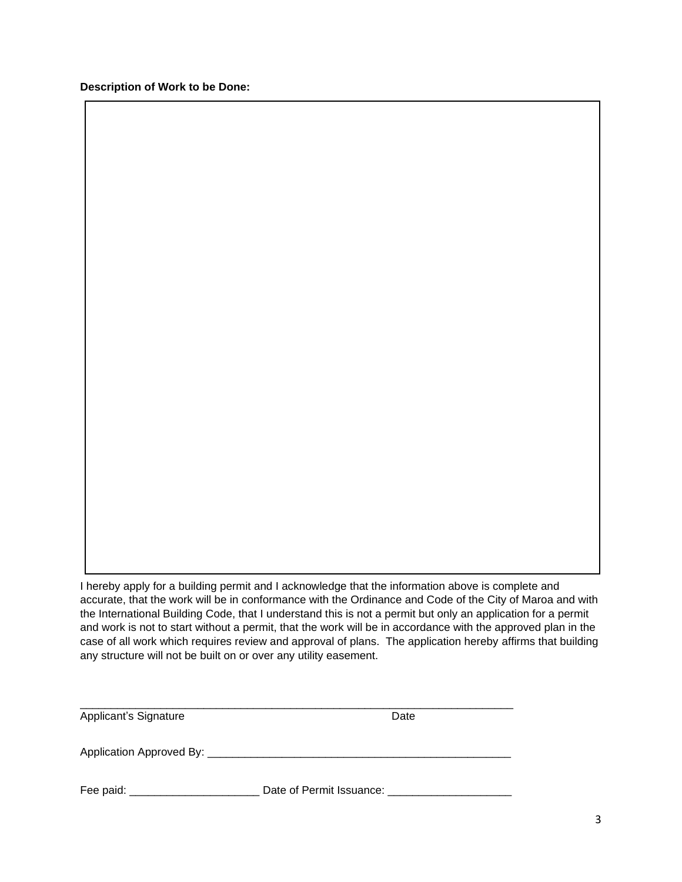**Description of Work to be Done:**

I hereby apply for a building permit and I acknowledge that the information above is complete and accurate, that the work will be in conformance with the Ordinance and Code of the City of Maroa and with the International Building Code, that I understand this is not a permit but only an application for a permit and work is not to start without a permit, that the work will be in accordance with the approved plan in the case of all work which requires review and approval of plans. The application hereby affirms that building any structure will not be built on or over any utility easement.

| Applicant's Signature    | Date                     |
|--------------------------|--------------------------|
| Application Approved By: |                          |
| Fee paid:                | Date of Permit Issuance: |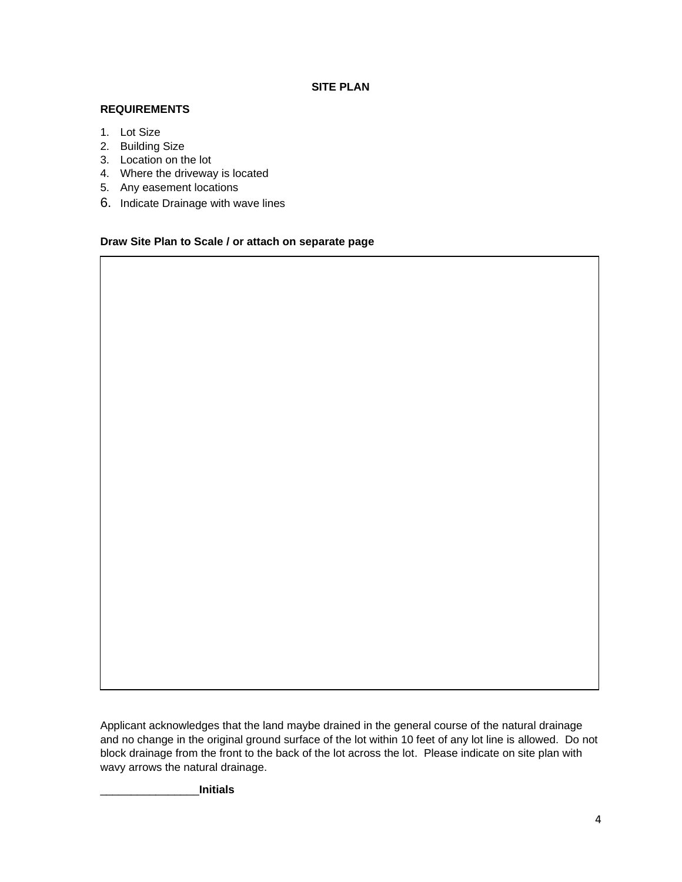### **SITE PLAN**

#### **REQUIREMENTS**

- 1. Lot Size
- 2. Building Size
- 3. Location on the lot
- 4. Where the driveway is located
- 5. Any easement locations
- 6. Indicate Drainage with wave lines

#### **Draw Site Plan to Scale / or attach on separate page**

Applicant acknowledges that the land maybe drained in the general course of the natural drainage and no change in the original ground surface of the lot within 10 feet of any lot line is allowed. Do not block drainage from the front to the back of the lot across the lot. Please indicate on site plan with wavy arrows the natural drainage.

\_\_\_\_\_\_\_\_\_\_\_\_\_\_\_\_**Initials**